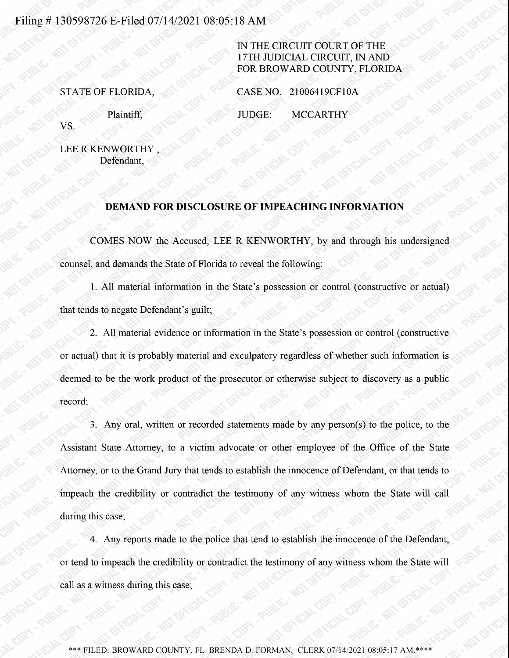## Filing # 130598726 E-Filed 07/14/2021 08:05:18 AM

## IN THE CIRCUIT COURT OF THE 17TH JUDICIALCIRCUIT, IN AND FOR BROWARD COUNTY, FLORIDA

STATE OF FLORIDA, CASE NO. 21006419CF10A

Plaintiff, JUDGE: MCCARTHY

VS.

LEE R KENWORTHY Defendant,

## DEMAND FOR DISCLOSURE OF IMPEACHING INFORMATION

COMES NOW the Accused, LEE R KENWORTHY, by and through his undersigned counsel, and demands the State of Florida to reveal the following:

1. All material information in the State's possession or control (constructive or actual) that tends to negate Defendant's guilt;

2. All material evidence or information in the State's possession or control (constructive or actual) that it is probably material and exculpatory regardless of whether such information is deemed to be the work product of the prosecutor or otherwise subject to discovery as <sup>a</sup> public record;

3. Any oral, written or recorded statements made by any person(s) to the police, to the Assistant State Attorney, to <sup>a</sup> victim advocate or other employee of the Office of the State Attorney, or to the Grand Jury that tends to establish the innocence of Defendant, or that tends to impeach the credibility or contradict the testimony of any witness whom the State will call during this case;

4. Any reports made to the police that tend to establish the innocence of the Defendant, or tend to impeach the credibility or contradict the testimony of any witnesswhom the State will call as a witness during this case;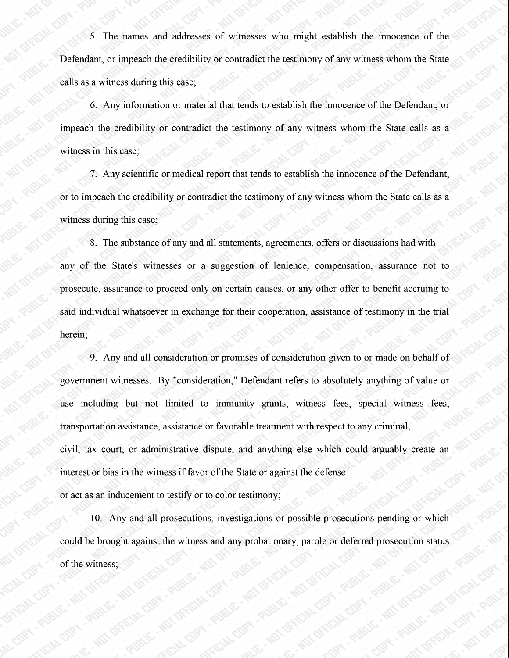5. The names and addresses of witnesses who might establish the innocence of the Defendant, or impeach the credibility or contradict the testimony of any witness whom the State calls as a witness during this case;

6. Any information or material that tends to establish the innocence of the Defendant, or impeach the credibility or contradict the testimony of any witness whom the State calls as <sup>a</sup> witness in this case;

7. Any scientific or medical report that tends to establish the innocence of the Defendant, or to impeach the credibility or contradict the testimony of any witnesswhom the State calls as <sup>a</sup> witness during this case;

8. The substance of any and all statements, agreements, offers or discussions had with any of the State's witnesses or a suggestion of lenience, compensation, assurance not to prosecute, assurance to proceed only on certain causes, or any other offer to benefit accruing to said individual whatsoever in exchange for their cooperation, assistance of testimony in the trial herein;

9. Any and all consideration or promises of consideration given to or made on behalf of government witnesses. By "consideration," Defendant refers to absolutely anything of value or use including but not limited to immunity grants, witness fees, special witness fees, transportation assistance, assistance or favorable treatment with respect to any criminal, civil, tax court, or administrative dispute, and anything else which could arguably create an interest or bias in the witness if favor of the State or against the defense or act as an inducement to testify or to color testimony;

10. Any and all prosecutions, investigations or possible prosecutions pending or which could be brought against the witness and any probationary, parole or deferred prosecution status of the witness;